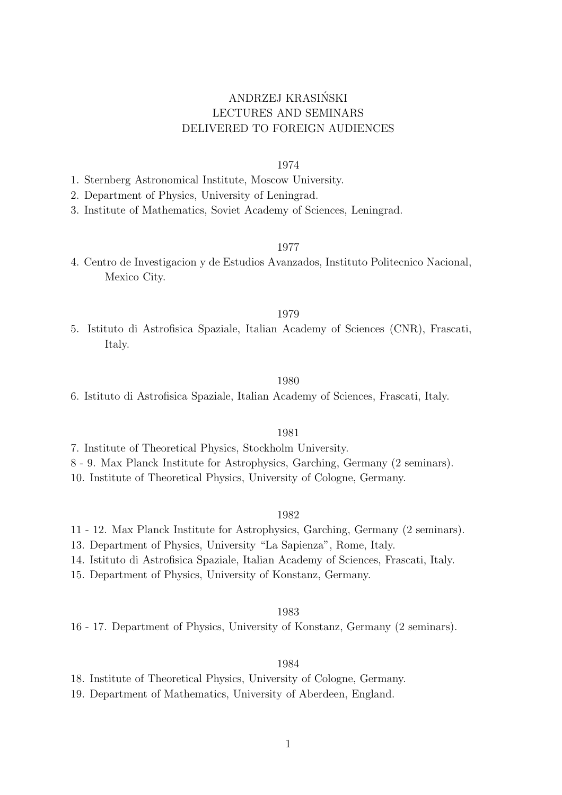# ANDRZEJ KRASINSKI ´ LECTURES AND SEMINARS DELIVERED TO FOREIGN AUDIENCES

# 1974

- 1. Sternberg Astronomical Institute, Moscow University.
- 2. Department of Physics, University of Leningrad.
- 3. Institute of Mathematics, Soviet Academy of Sciences, Leningrad.

### 1977

4. Centro de Investigacion y de Estudios Avanzados, Instituto Politecnico Nacional, Mexico City.

### 1979

5. Istituto di Astrofisica Spaziale, Italian Academy of Sciences (CNR), Frascati, Italy.

#### 1980

6. Istituto di Astrofisica Spaziale, Italian Academy of Sciences, Frascati, Italy.

# 1981

- 7. Institute of Theoretical Physics, Stockholm University.
- 8 9. Max Planck Institute for Astrophysics, Garching, Germany (2 seminars).
- 10. Institute of Theoretical Physics, University of Cologne, Germany.

#### 1982

- 11 12. Max Planck Institute for Astrophysics, Garching, Germany (2 seminars).
- 13. Department of Physics, University "La Sapienza", Rome, Italy.
- 14. Istituto di Astrofisica Spaziale, Italian Academy of Sciences, Frascati, Italy.
- 15. Department of Physics, University of Konstanz, Germany.

### 1983

16 - 17. Department of Physics, University of Konstanz, Germany (2 seminars).

#### 1984

- 18. Institute of Theoretical Physics, University of Cologne, Germany.
- 19. Department of Mathematics, University of Aberdeen, England.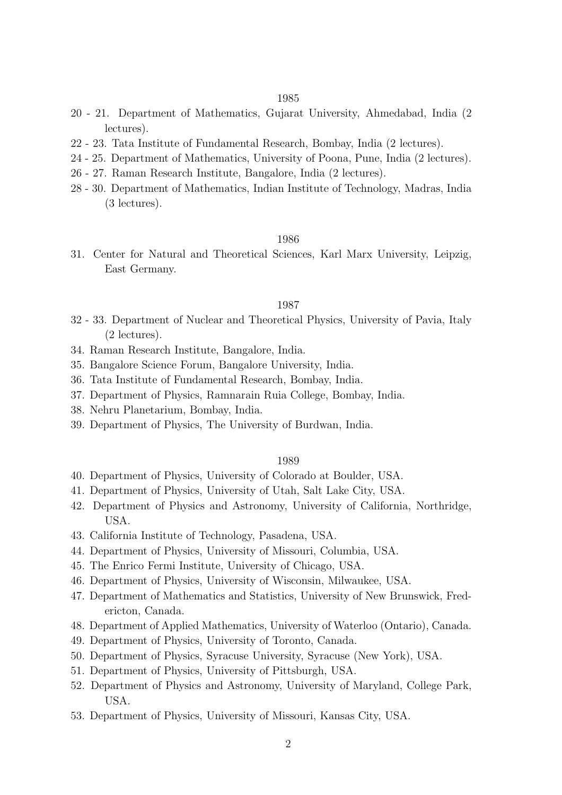#### 1985

- 20 21. Department of Mathematics, Gujarat University, Ahmedabad, India (2 lectures).
- 22 23. Tata Institute of Fundamental Research, Bombay, India (2 lectures).
- 24 25. Department of Mathematics, University of Poona, Pune, India (2 lectures).
- 26 27. Raman Research Institute, Bangalore, India (2 lectures).
- 28 30. Department of Mathematics, Indian Institute of Technology, Madras, India (3 lectures).

# 1986

31. Center for Natural and Theoretical Sciences, Karl Marx University, Leipzig, East Germany.

# 1987

- 32 33. Department of Nuclear and Theoretical Physics, University of Pavia, Italy (2 lectures).
- 34. Raman Research Institute, Bangalore, India.
- 35. Bangalore Science Forum, Bangalore University, India.
- 36. Tata Institute of Fundamental Research, Bombay, India.
- 37. Department of Physics, Ramnarain Ruia College, Bombay, India.
- 38. Nehru Planetarium, Bombay, India.
- 39. Department of Physics, The University of Burdwan, India.

#### 1989

- 40. Department of Physics, University of Colorado at Boulder, USA.
- 41. Department of Physics, University of Utah, Salt Lake City, USA.
- 42. Department of Physics and Astronomy, University of California, Northridge, USA.
- 43. California Institute of Technology, Pasadena, USA.
- 44. Department of Physics, University of Missouri, Columbia, USA.
- 45. The Enrico Fermi Institute, University of Chicago, USA.
- 46. Department of Physics, University of Wisconsin, Milwaukee, USA.
- 47. Department of Mathematics and Statistics, University of New Brunswick, Fredericton, Canada.
- 48. Department of Applied Mathematics, University of Waterloo (Ontario), Canada.
- 49. Department of Physics, University of Toronto, Canada.
- 50. Department of Physics, Syracuse University, Syracuse (New York), USA.
- 51. Department of Physics, University of Pittsburgh, USA.
- 52. Department of Physics and Astronomy, University of Maryland, College Park, USA.
- 53. Department of Physics, University of Missouri, Kansas City, USA.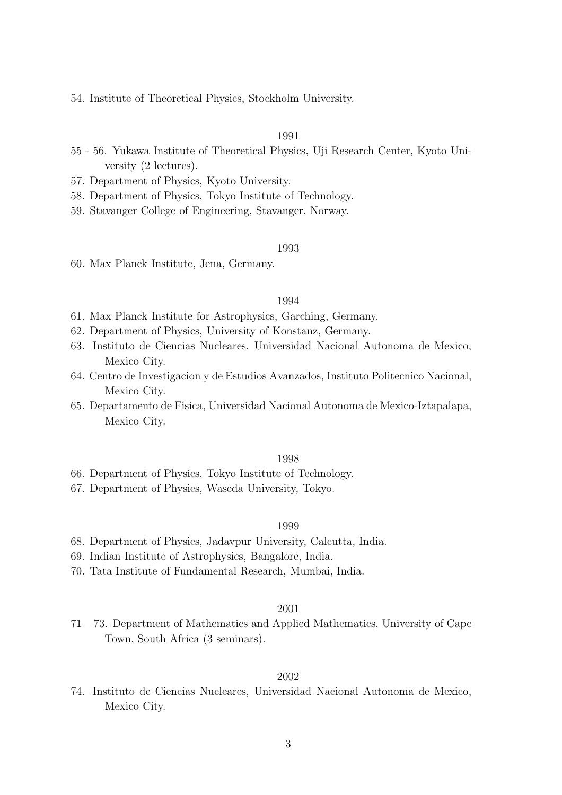54. Institute of Theoretical Physics, Stockholm University.

# 1991

- 55 56. Yukawa Institute of Theoretical Physics, Uji Research Center, Kyoto University (2 lectures).
- 57. Department of Physics, Kyoto University.
- 58. Department of Physics, Tokyo Institute of Technology.
- 59. Stavanger College of Engineering, Stavanger, Norway.

#### 1993

60. Max Planck Institute, Jena, Germany.

# 1994

- 61. Max Planck Institute for Astrophysics, Garching, Germany.
- 62. Department of Physics, University of Konstanz, Germany.
- 63. Instituto de Ciencias Nucleares, Universidad Nacional Autonoma de Mexico, Mexico City.
- 64. Centro de Investigacion y de Estudios Avanzados, Instituto Politecnico Nacional, Mexico City.
- 65. Departamento de Fisica, Universidad Nacional Autonoma de Mexico-Iztapalapa, Mexico City.

#### 1998

- 66. Department of Physics, Tokyo Institute of Technology.
- 67. Department of Physics, Waseda University, Tokyo.

#### 1999

- 68. Department of Physics, Jadavpur University, Calcutta, India.
- 69. Indian Institute of Astrophysics, Bangalore, India.
- 70. Tata Institute of Fundamental Research, Mumbai, India.

#### 2001

71 – 73. Department of Mathematics and Applied Mathematics, University of Cape Town, South Africa (3 seminars).

# 2002

74. Instituto de Ciencias Nucleares, Universidad Nacional Autonoma de Mexico, Mexico City.